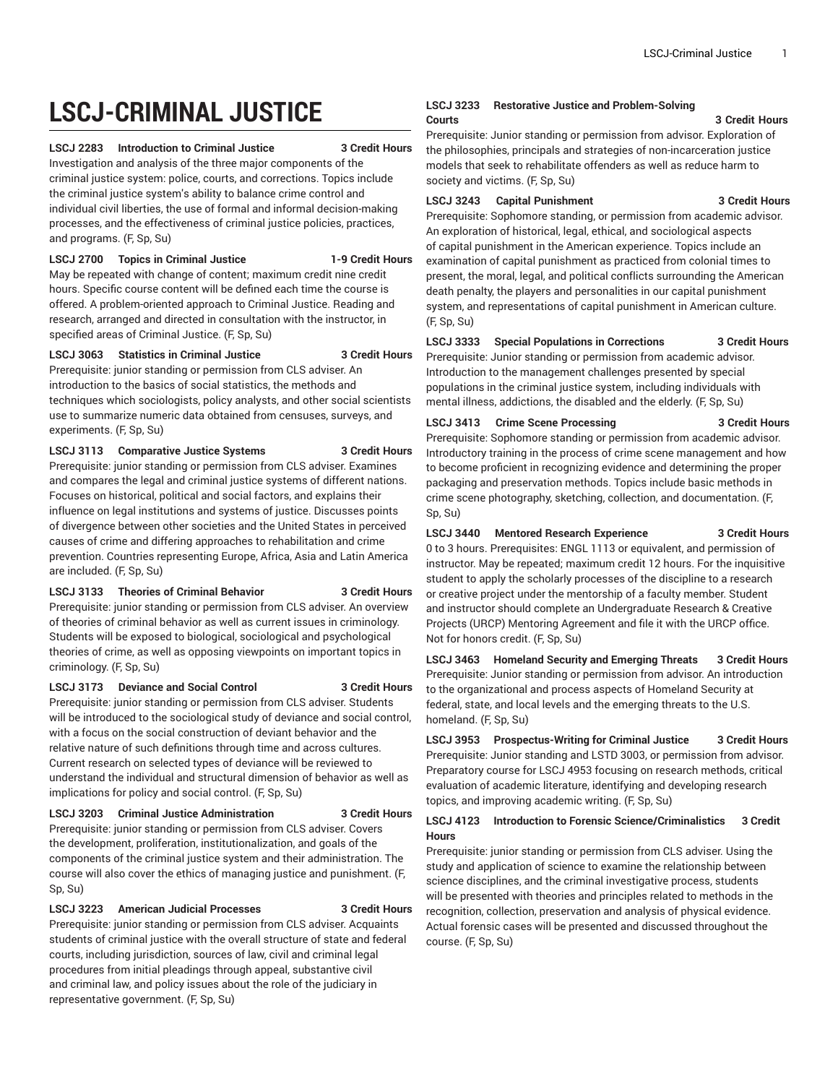# **LSCJ-CRIMINAL JUSTICE**

#### **LSCJ 2283 Introduction to Criminal Justice 3 Credit Hours**

Investigation and analysis of the three major components of the criminal justice system: police, courts, and corrections. Topics include the criminal justice system's ability to balance crime control and individual civil liberties, the use of formal and informal decision-making processes, and the effectiveness of criminal justice policies, practices, and programs. (F, Sp, Su)

#### **LSCJ 2700 Topics in Criminal Justice 1-9 Credit Hours**

May be repeated with change of content; maximum credit nine credit hours. Specific course content will be defined each time the course is offered. A problem-oriented approach to Criminal Justice. Reading and research, arranged and directed in consultation with the instructor, in specified areas of Criminal Justice. (F, Sp, Su)

#### **LSCJ 3063 Statistics in Criminal Justice 3 Credit Hours**

Prerequisite: junior standing or permission from CLS adviser. An introduction to the basics of social statistics, the methods and techniques which sociologists, policy analysts, and other social scientists use to summarize numeric data obtained from censuses, surveys, and experiments. (F, Sp, Su)

**LSCJ 3113 Comparative Justice Systems 3 Credit Hours** Prerequisite: junior standing or permission from CLS adviser. Examines and compares the legal and criminal justice systems of different nations. Focuses on historical, political and social factors, and explains their influence on legal institutions and systems of justice. Discusses points of divergence between other societies and the United States in perceived causes of crime and differing approaches to rehabilitation and crime prevention. Countries representing Europe, Africa, Asia and Latin America are included. (F, Sp, Su)

**LSCJ 3133 Theories of Criminal Behavior 3 Credit Hours** Prerequisite: junior standing or permission from CLS adviser. An overview of theories of criminal behavior as well as current issues in criminology. Students will be exposed to biological, sociological and psychological theories of crime, as well as opposing viewpoints on important topics in criminology. (F, Sp, Su)

#### **LSCJ 3173 Deviance and Social Control 3 Credit Hours**

Prerequisite: junior standing or permission from CLS adviser. Students will be introduced to the sociological study of deviance and social control, with a focus on the social construction of deviant behavior and the relative nature of such definitions through time and across cultures. Current research on selected types of deviance will be reviewed to understand the individual and structural dimension of behavior as well as implications for policy and social control. (F, Sp, Su)

### **LSCJ 3203 Criminal Justice Administration 3 Credit Hours**

Prerequisite: junior standing or permission from CLS adviser. Covers the development, proliferation, institutionalization, and goals of the components of the criminal justice system and their administration. The course will also cover the ethics of managing justice and punishment. (F, Sp, Su)

#### **LSCJ 3223 American Judicial Processes 3 Credit Hours**

Prerequisite: junior standing or permission from CLS adviser. Acquaints students of criminal justice with the overall structure of state and federal courts, including jurisdiction, sources of law, civil and criminal legal procedures from initial pleadings through appeal, substantive civil and criminal law, and policy issues about the role of the judiciary in representative government. (F, Sp, Su)

#### **LSCJ 3233 Restorative Justice and Problem-Solving Courts 3 Credit Hours**

Prerequisite: Junior standing or permission from advisor. Exploration of the philosophies, principals and strategies of non-incarceration justice models that seek to rehabilitate offenders as well as reduce harm to society and victims. (F, Sp, Su)

#### **LSCJ 3243 Capital Punishment 3 Credit Hours**

Prerequisite: Sophomore standing, or permission from academic advisor. An exploration of historical, legal, ethical, and sociological aspects of capital punishment in the American experience. Topics include an examination of capital punishment as practiced from colonial times to present, the moral, legal, and political conflicts surrounding the American death penalty, the players and personalities in our capital punishment system, and representations of capital punishment in American culture. (F, Sp, Su)

#### **LSCJ 3333 Special Populations in Corrections 3 Credit Hours**

Prerequisite: Junior standing or permission from academic advisor. Introduction to the management challenges presented by special populations in the criminal justice system, including individuals with mental illness, addictions, the disabled and the elderly. (F, Sp, Su)

**LSCJ 3413 Crime Scene Processing 3 Credit Hours** Prerequisite: Sophomore standing or permission from academic advisor. Introductory training in the process of crime scene management and how

to become proficient in recognizing evidence and determining the proper packaging and preservation methods. Topics include basic methods in crime scene photography, sketching, collection, and documentation. (F, Sp, Su)

#### **LSCJ 3440 Mentored Research Experience 3 Credit Hours**

0 to 3 hours. Prerequisites: ENGL 1113 or equivalent, and permission of instructor. May be repeated; maximum credit 12 hours. For the inquisitive student to apply the scholarly processes of the discipline to a research or creative project under the mentorship of a faculty member. Student and instructor should complete an Undergraduate Research & Creative Projects (URCP) Mentoring Agreement and file it with the URCP office. Not for honors credit. (F, Sp, Su)

**LSCJ 3463 Homeland Security and Emerging Threats 3 Credit Hours** Prerequisite: Junior standing or permission from advisor. An introduction to the organizational and process aspects of Homeland Security at federal, state, and local levels and the emerging threats to the U.S. homeland. (F, Sp, Su)

**LSCJ 3953 Prospectus-Writing for Criminal Justice 3 Credit Hours** Prerequisite: Junior standing and LSTD 3003, or permission from advisor. Preparatory course for LSCJ 4953 focusing on research methods, critical evaluation of academic literature, identifying and developing research topics, and improving academic writing. (F, Sp, Su)

#### **LSCJ 4123 Introduction to Forensic Science/Criminalistics 3 Credit Hours**

Prerequisite: junior standing or permission from CLS adviser. Using the study and application of science to examine the relationship between science disciplines, and the criminal investigative process, students will be presented with theories and principles related to methods in the recognition, collection, preservation and analysis of physical evidence. Actual forensic cases will be presented and discussed throughout the course. (F, Sp, Su)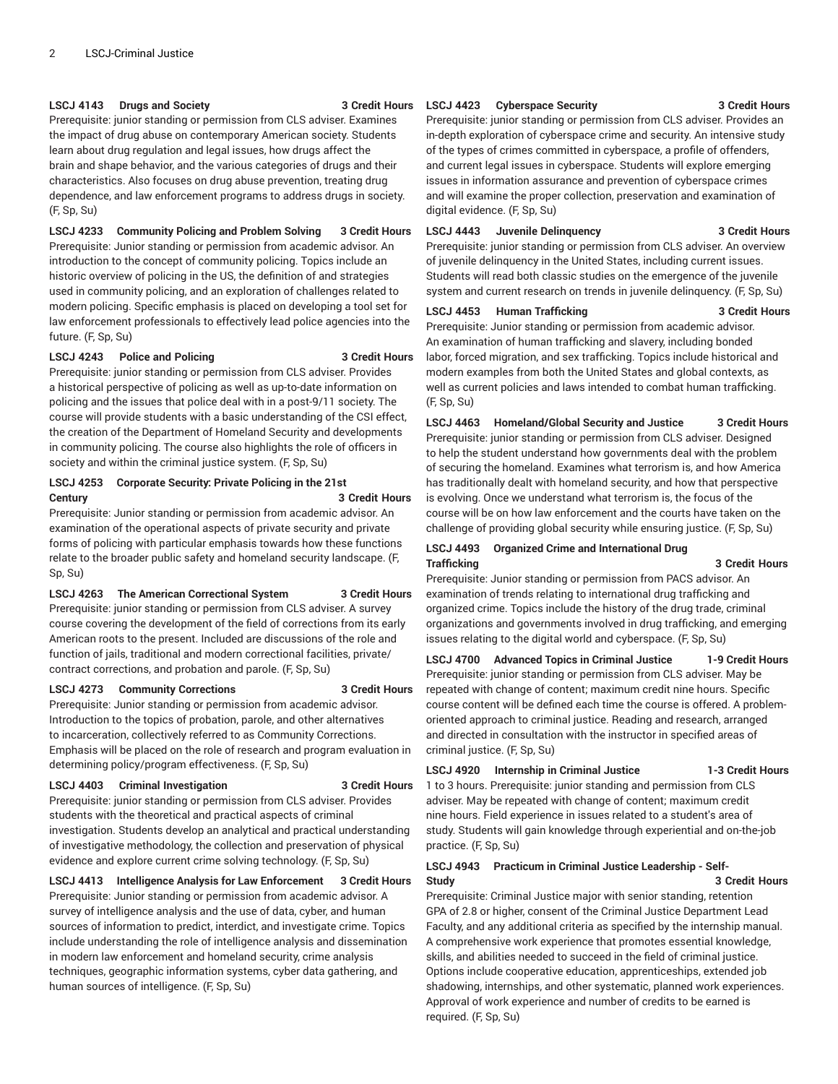#### **LSCJ 4143 Drugs and Society 3 Credit Hours**

Prerequisite: junior standing or permission from CLS adviser. Examines the impact of drug abuse on contemporary American society. Students learn about drug regulation and legal issues, how drugs affect the brain and shape behavior, and the various categories of drugs and their characteristics. Also focuses on drug abuse prevention, treating drug dependence, and law enforcement programs to address drugs in society. (F, Sp, Su)

**LSCJ 4233 Community Policing and Problem Solving 3 Credit Hours** Prerequisite: Junior standing or permission from academic advisor. An introduction to the concept of community policing. Topics include an historic overview of policing in the US, the definition of and strategies used in community policing, and an exploration of challenges related to modern policing. Specific emphasis is placed on developing a tool set for law enforcement professionals to effectively lead police agencies into the future. (F, Sp, Su)

#### **LSCJ 4243 Police and Policing 3 Credit Hours**

Prerequisite: junior standing or permission from CLS adviser. Provides a historical perspective of policing as well as up-to-date information on policing and the issues that police deal with in a post-9/11 society. The course will provide students with a basic understanding of the CSI effect, the creation of the Department of Homeland Security and developments in community policing. The course also highlights the role of officers in society and within the criminal justice system. (F, Sp, Su)

#### **LSCJ 4253 Corporate Security: Private Policing in the 21st Century 3 Credit Hours**

Prerequisite: Junior standing or permission from academic advisor. An examination of the operational aspects of private security and private forms of policing with particular emphasis towards how these functions relate to the broader public safety and homeland security landscape. (F, Sp, Su)

### **LSCJ 4263 The American Correctional System 3 Credit Hours**

Prerequisite: junior standing or permission from CLS adviser. A survey course covering the development of the field of corrections from its early American roots to the present. Included are discussions of the role and function of jails, traditional and modern correctional facilities, private/ contract corrections, and probation and parole. (F, Sp, Su)

#### **LSCJ 4273 Community Corrections 3 Credit Hours**

Prerequisite: Junior standing or permission from academic advisor. Introduction to the topics of probation, parole, and other alternatives to incarceration, collectively referred to as Community Corrections. Emphasis will be placed on the role of research and program evaluation in determining policy/program effectiveness. (F, Sp, Su)

#### **LSCJ 4403 Criminal Investigation 3 Credit Hours**

Prerequisite: junior standing or permission from CLS adviser. Provides students with the theoretical and practical aspects of criminal investigation. Students develop an analytical and practical understanding of investigative methodology, the collection and preservation of physical evidence and explore current crime solving technology. (F, Sp, Su)

**LSCJ 4413 Intelligence Analysis for Law Enforcement 3 Credit Hours** Prerequisite: Junior standing or permission from academic advisor. A survey of intelligence analysis and the use of data, cyber, and human sources of information to predict, interdict, and investigate crime. Topics include understanding the role of intelligence analysis and dissemination in modern law enforcement and homeland security, crime analysis techniques, geographic information systems, cyber data gathering, and human sources of intelligence. (F, Sp, Su)

#### **LSCJ 4423 Cyberspace Security 3 Credit Hours**

Prerequisite: junior standing or permission from CLS adviser. Provides an in-depth exploration of cyberspace crime and security. An intensive study of the types of crimes committed in cyberspace, a profile of offenders, and current legal issues in cyberspace. Students will explore emerging issues in information assurance and prevention of cyberspace crimes and will examine the proper collection, preservation and examination of digital evidence. (F, Sp, Su)

# **LSCJ 4443 Juvenile Delinquency 3 Credit Hours**

Prerequisite: junior standing or permission from CLS adviser. An overview of juvenile delinquency in the United States, including current issues. Students will read both classic studies on the emergence of the juvenile system and current research on trends in juvenile delinquency. (F, Sp, Su)

#### **LSCJ 4453 Human Trafficking 3 Credit Hours**

Prerequisite: Junior standing or permission from academic advisor. An examination of human trafficking and slavery, including bonded labor, forced migration, and sex trafficking. Topics include historical and modern examples from both the United States and global contexts, as well as current policies and laws intended to combat human trafficking. (F, Sp, Su)

**LSCJ 4463 Homeland/Global Security and Justice 3 Credit Hours** Prerequisite: junior standing or permission from CLS adviser. Designed to help the student understand how governments deal with the problem of securing the homeland. Examines what terrorism is, and how America has traditionally dealt with homeland security, and how that perspective is evolving. Once we understand what terrorism is, the focus of the course will be on how law enforcement and the courts have taken on the challenge of providing global security while ensuring justice. (F, Sp, Su)

#### **LSCJ 4493 Organized Crime and International Drug Trafficking 3 Credit Hours**

Prerequisite: Junior standing or permission from PACS advisor. An examination of trends relating to international drug trafficking and organized crime. Topics include the history of the drug trade, criminal organizations and governments involved in drug trafficking, and emerging issues relating to the digital world and cyberspace. (F, Sp, Su)

**LSCJ 4700 Advanced Topics in Criminal Justice 1-9 Credit Hours** Prerequisite: junior standing or permission from CLS adviser. May be repeated with change of content; maximum credit nine hours. Specific course content will be defined each time the course is offered. A problemoriented approach to criminal justice. Reading and research, arranged and directed in consultation with the instructor in specified areas of criminal justice. (F, Sp, Su)

#### **LSCJ 4920 Internship in Criminal Justice 1-3 Credit Hours** 1 to 3 hours. Prerequisite: junior standing and permission from CLS adviser. May be repeated with change of content; maximum credit nine hours. Field experience in issues related to a student's area of study. Students will gain knowledge through experiential and on-the-job practice. (F, Sp, Su)

### **LSCJ 4943 Practicum in Criminal Justice Leadership - Self-Study 3 Credit Hours**

Prerequisite: Criminal Justice major with senior standing, retention GPA of 2.8 or higher, consent of the Criminal Justice Department Lead Faculty, and any additional criteria as specified by the internship manual. A comprehensive work experience that promotes essential knowledge, skills, and abilities needed to succeed in the field of criminal justice. Options include cooperative education, apprenticeships, extended job shadowing, internships, and other systematic, planned work experiences. Approval of work experience and number of credits to be earned is required. (F, Sp, Su)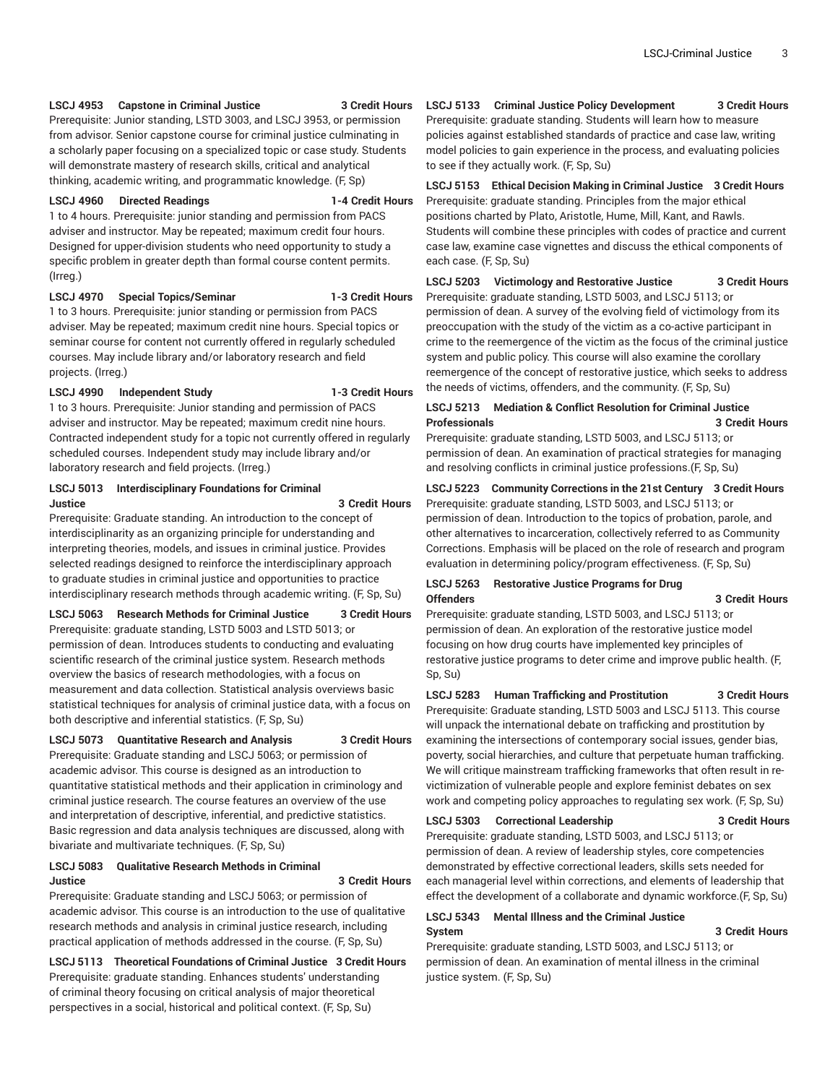#### **LSCJ 4953 Capstone in Criminal Justice 3 Credit Hours**

Prerequisite: Junior standing, LSTD 3003, and LSCJ 3953, or permission from advisor. Senior capstone course for criminal justice culminating in a scholarly paper focusing on a specialized topic or case study. Students will demonstrate mastery of research skills, critical and analytical thinking, academic writing, and programmatic knowledge. (F, Sp)

### **LSCJ 4960 Directed Readings 1-4 Credit Hours**

1 to 4 hours. Prerequisite: junior standing and permission from PACS adviser and instructor. May be repeated; maximum credit four hours. Designed for upper-division students who need opportunity to study a specific problem in greater depth than formal course content permits. (Irreg.)

#### **LSCJ 4970 Special Topics/Seminar 1-3 Credit Hours**

1 to 3 hours. Prerequisite: junior standing or permission from PACS adviser. May be repeated; maximum credit nine hours. Special topics or seminar course for content not currently offered in regularly scheduled courses. May include library and/or laboratory research and field projects. (Irreg.)

#### **LSCJ 4990 Independent Study 1-3 Credit Hours**

1 to 3 hours. Prerequisite: Junior standing and permission of PACS adviser and instructor. May be repeated; maximum credit nine hours. Contracted independent study for a topic not currently offered in regularly scheduled courses. Independent study may include library and/or laboratory research and field projects. (Irreg.)

#### **LSCJ 5013 Interdisciplinary Foundations for Criminal Justice 3 Credit Hours**

Prerequisite: Graduate standing. An introduction to the concept of interdisciplinarity as an organizing principle for understanding and interpreting theories, models, and issues in criminal justice. Provides selected readings designed to reinforce the interdisciplinary approach to graduate studies in criminal justice and opportunities to practice interdisciplinary research methods through academic writing. (F, Sp, Su)

**LSCJ 5063 Research Methods for Criminal Justice 3 Credit Hours**

Prerequisite: graduate standing, LSTD 5003 and LSTD 5013; or permission of dean. Introduces students to conducting and evaluating scientific research of the criminal justice system. Research methods overview the basics of research methodologies, with a focus on measurement and data collection. Statistical analysis overviews basic statistical techniques for analysis of criminal justice data, with a focus on both descriptive and inferential statistics. (F, Sp, Su)

#### **LSCJ 5073 Quantitative Research and Analysis 3 Credit Hours**

Prerequisite: Graduate standing and LSCJ 5063; or permission of academic advisor. This course is designed as an introduction to quantitative statistical methods and their application in criminology and criminal justice research. The course features an overview of the use and interpretation of descriptive, inferential, and predictive statistics. Basic regression and data analysis techniques are discussed, along with bivariate and multivariate techniques. (F, Sp, Su)

#### **LSCJ 5083 Qualitative Research Methods in Criminal Justice 3 Credit Hours**

Prerequisite: Graduate standing and LSCJ 5063; or permission of academic advisor. This course is an introduction to the use of qualitative research methods and analysis in criminal justice research, including practical application of methods addressed in the course. (F, Sp, Su)

# **LSCJ 5113 Theoretical Foundations of Criminal Justice 3 Credit Hours**

Prerequisite: graduate standing. Enhances students' understanding of criminal theory focusing on critical analysis of major theoretical perspectives in a social, historical and political context. (F, Sp, Su)

**LSCJ 5133 Criminal Justice Policy Development 3 Credit Hours**

Prerequisite: graduate standing. Students will learn how to measure policies against established standards of practice and case law, writing model policies to gain experience in the process, and evaluating policies to see if they actually work. (F, Sp, Su)

# **LSCJ 5153 Ethical Decision Making in Criminal Justice 3 Credit Hours**

Prerequisite: graduate standing. Principles from the major ethical positions charted by Plato, Aristotle, Hume, Mill, Kant, and Rawls. Students will combine these principles with codes of practice and current case law, examine case vignettes and discuss the ethical components of each case. (F, Sp, Su)

#### **LSCJ 5203 Victimology and Restorative Justice 3 Credit Hours** Prerequisite: graduate standing, LSTD 5003, and LSCJ 5113; or

permission of dean. A survey of the evolving field of victimology from its preoccupation with the study of the victim as a co-active participant in crime to the reemergence of the victim as the focus of the criminal justice system and public policy. This course will also examine the corollary reemergence of the concept of restorative justice, which seeks to address the needs of victims, offenders, and the community. (F, Sp, Su)

#### **LSCJ 5213 Mediation & Conflict Resolution for Criminal Justice Professionals 3 Credit Hours**

Prerequisite: graduate standing, LSTD 5003, and LSCJ 5113; or permission of dean. An examination of practical strategies for managing and resolving conflicts in criminal justice professions.(F, Sp, Su)

**LSCJ 5223 Community Corrections in the 21st Century 3 Credit Hours** Prerequisite: graduate standing, LSTD 5003, and LSCJ 5113; or permission of dean. Introduction to the topics of probation, parole, and other alternatives to incarceration, collectively referred to as Community Corrections. Emphasis will be placed on the role of research and program evaluation in determining policy/program effectiveness. (F, Sp, Su)

### **LSCJ 5263 Restorative Justice Programs for Drug Offenders 3 Credit Hours**

Prerequisite: graduate standing, LSTD 5003, and LSCJ 5113; or permission of dean. An exploration of the restorative justice model focusing on how drug courts have implemented key principles of restorative justice programs to deter crime and improve public health. (F, Sp, Su)

**LSCJ 5283 Human Trafficking and Prostitution 3 Credit Hours**

Prerequisite: Graduate standing, LSTD 5003 and LSCJ 5113. This course will unpack the international debate on trafficking and prostitution by examining the intersections of contemporary social issues, gender bias, poverty, social hierarchies, and culture that perpetuate human trafficking. We will critique mainstream trafficking frameworks that often result in revictimization of vulnerable people and explore feminist debates on sex work and competing policy approaches to regulating sex work. (F, Sp, Su)

### **LSCJ 5303 Correctional Leadership 3 Credit Hours**

Prerequisite: graduate standing, LSTD 5003, and LSCJ 5113; or permission of dean. A review of leadership styles, core competencies demonstrated by effective correctional leaders, skills sets needed for each managerial level within corrections, and elements of leadership that effect the development of a collaborate and dynamic workforce.(F, Sp, Su)

#### **LSCJ 5343 Mental Illness and the Criminal Justice System 3 Credit Hours**

Prerequisite: graduate standing, LSTD 5003, and LSCJ 5113; or permission of dean. An examination of mental illness in the criminal justice system. (F, Sp, Su)